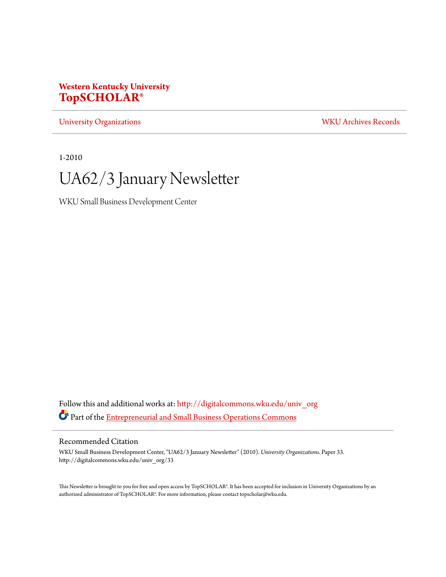### **Western Kentucky University [TopSCHOLAR®](http://digitalcommons.wku.edu?utm_source=digitalcommons.wku.edu%2Funiv_org%2F33&utm_medium=PDF&utm_campaign=PDFCoverPages)**

[University Organizations](http://digitalcommons.wku.edu/univ_org?utm_source=digitalcommons.wku.edu%2Funiv_org%2F33&utm_medium=PDF&utm_campaign=PDFCoverPages) [WKU Archives Records](http://digitalcommons.wku.edu/dlsc_ua_records?utm_source=digitalcommons.wku.edu%2Funiv_org%2F33&utm_medium=PDF&utm_campaign=PDFCoverPages)

1-2010

# UA62/3 January Newsletter

WKU Small Business Development Center

Follow this and additional works at: [http://digitalcommons.wku.edu/univ\\_org](http://digitalcommons.wku.edu/univ_org?utm_source=digitalcommons.wku.edu%2Funiv_org%2F33&utm_medium=PDF&utm_campaign=PDFCoverPages) Part of the [Entrepreneurial and Small Business Operations Commons](http://network.bepress.com/hgg/discipline/630?utm_source=digitalcommons.wku.edu%2Funiv_org%2F33&utm_medium=PDF&utm_campaign=PDFCoverPages)

#### Recommended Citation

WKU Small Business Development Center, "UA62/3 January Newsletter" (2010). *University Organizations.* Paper 33. http://digitalcommons.wku.edu/univ\_org/33

This Newsletter is brought to you for free and open access by TopSCHOLAR®. It has been accepted for inclusion in University Organizations by an authorized administrator of TopSCHOLAR®. For more information, please contact topscholar@wku.edu.